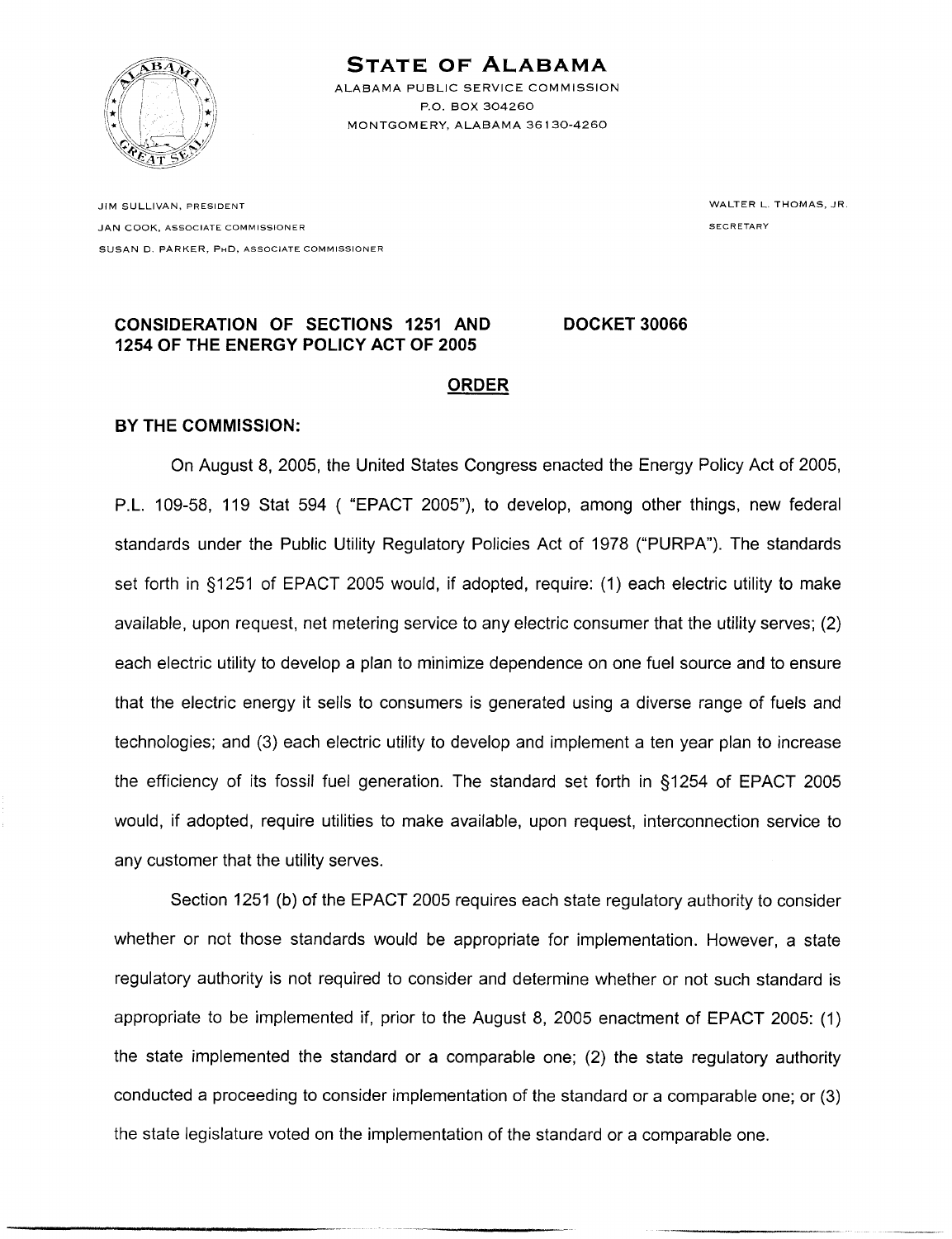

## **STATE OF ALABAMA**

ALABAMA PUBLIC SERVICE COMMISSION P.O. BOX 304260 MONTGOMERY, ALABAMA 36130-4260

JIM SULLIVAN, PRESIDENT JAN COOK, ASSOCIATE COMMISSIONER SUSAN D. PARKER, PHD, ASSOCIATE COMMISSIONER WALTER L. THOMAS, JR. **SECRETARY** 

## **CONSIDERATION OF SECTIONS 1251 AND DOCKET 30066** 1254 OF THE ENERGY POLICY ACT OF 2005

## **ORDER**

## **BY THE COMMISSION:**

On August 8, 2005, the United States Congress enacted the Energy Policy Act of 2005, P.L. 109-58, 119 Stat 594 ("EPACT 2005"), to develop, among other things, new federal standards under the Public Utility Regulatory Policies Act of 1978 ("PURPA"). The standards set forth in §1251 of EPACT 2005 would, if adopted, require: (1) each electric utility to make available, upon request, net metering service to any electric consumer that the utility serves; (2) each electric utility to develop a plan to minimize dependence on one fuel source and to ensure that the electric energy it sells to consumers is generated using a diverse range of fuels and technologies; and (3) each electric utility to develop and implement a ten year plan to increase the efficiency of its fossil fuel generation. The standard set forth in §1254 of EPACT 2005 would, if adopted, require utilities to make available, upon request, interconnection service to any customer that the utility serves.

Section 1251 (b) of the EPACT 2005 requires each state regulatory authority to consider whether or not those standards would be appropriate for implementation. However, a state requlatory authority is not required to consider and determine whether or not such standard is appropriate to be implemented if, prior to the August 8, 2005 enactment of EPACT 2005: (1) the state implemented the standard or a comparable one; (2) the state regulatory authority conducted a proceeding to consider implementation of the standard or a comparable one; or (3) the state legislature voted on the implementation of the standard or a comparable one.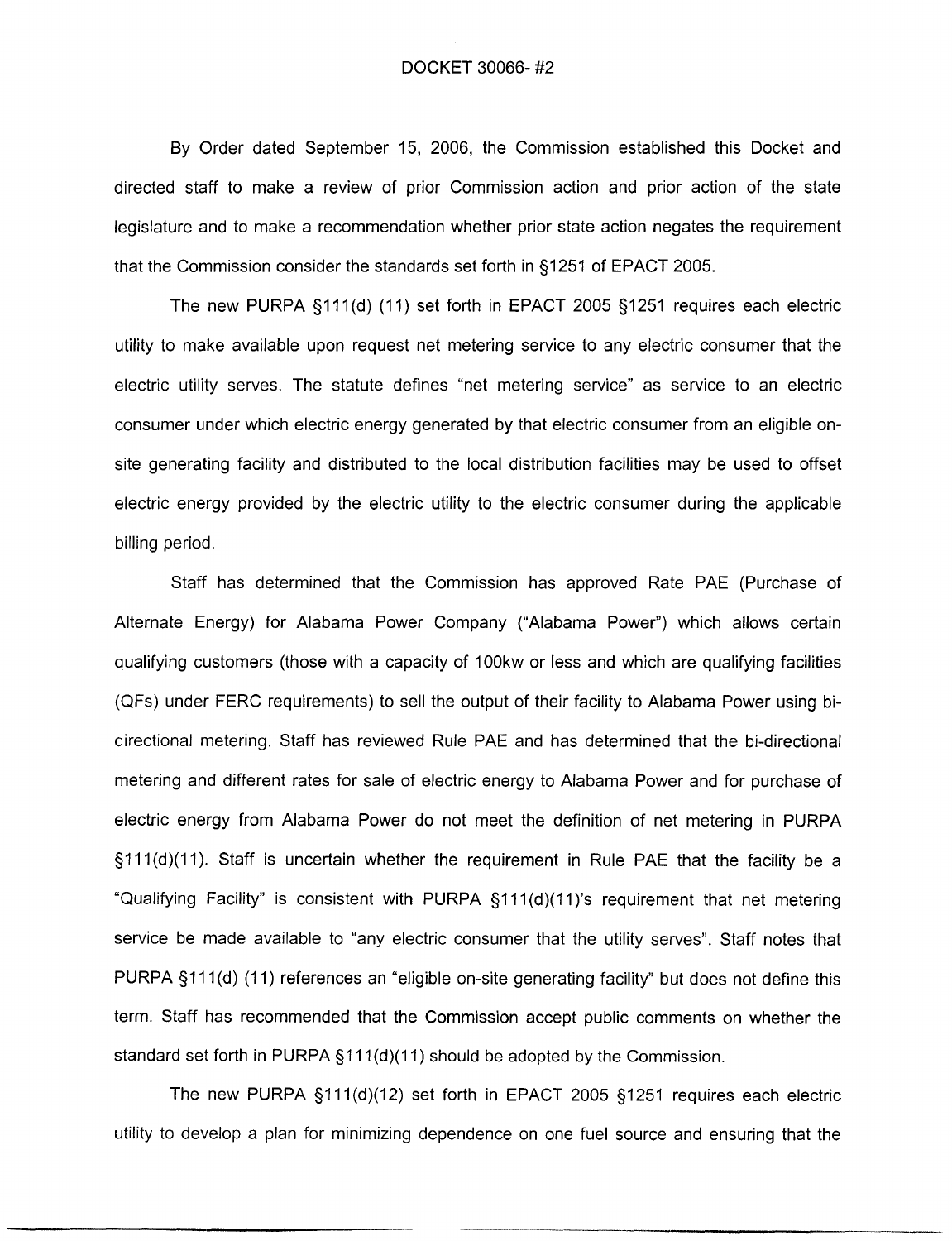By Order dated September 15, 2006, the Commission established this Docket and directed staff to make a review of prior Commission action and prior action of the state legislature and to make a recommendation whether prior state action negates the requirement that the Commission consider the standards set forth in §1251 of EPACT 2005.

The new PURPA §111(d) (11) set forth in EPACT 2005 §1251 requires each electric utility to make available upon request net metering service to any electric consumer that the electric utility serves. The statute defines "net metering service" as service to an electric consumer under which electric energy generated by that electric consumer from an eligible onsite generating facility and distributed to the local distribution facilities may be used to offset electric energy provided by the electric utility to the electric consumer during the applicable billing period.

Staff has determined that the Commission has approved Rate PAE (Purchase of Alternate Energy) for Alabama Power Company ("Alabama Power") which allows certain qualifying customers (those with a capacity of 100kw or less and which are qualifying facilities (QFs) under FERC requirements) to sell the output of their facility to Alabama Power using bidirectional metering. Staff has reviewed Rule PAE and has determined that the bi-directional metering and different rates for sale of electric energy to Alabama Power and for purchase of electric energy from Alabama Power do not meet the definition of net metering in PURPA §111(d)(11). Staff is uncertain whether the requirement in Rule PAE that the facility be a "Qualifying Facility" is consistent with PURPA §111(d)(11)'s requirement that net metering service be made available to "any electric consumer that the utility serves". Staff notes that PURPA §111(d) (11) references an "eligible on-site generating facility" but does not define this term. Staff has recommended that the Commission accept public comments on whether the standard set forth in PURPA  $\S111(d)(11)$  should be adopted by the Commission.

The new PURPA §111(d)(12) set forth in EPACT 2005 §1251 requires each electric utility to develop a plan for minimizing dependence on one fuel source and ensuring that the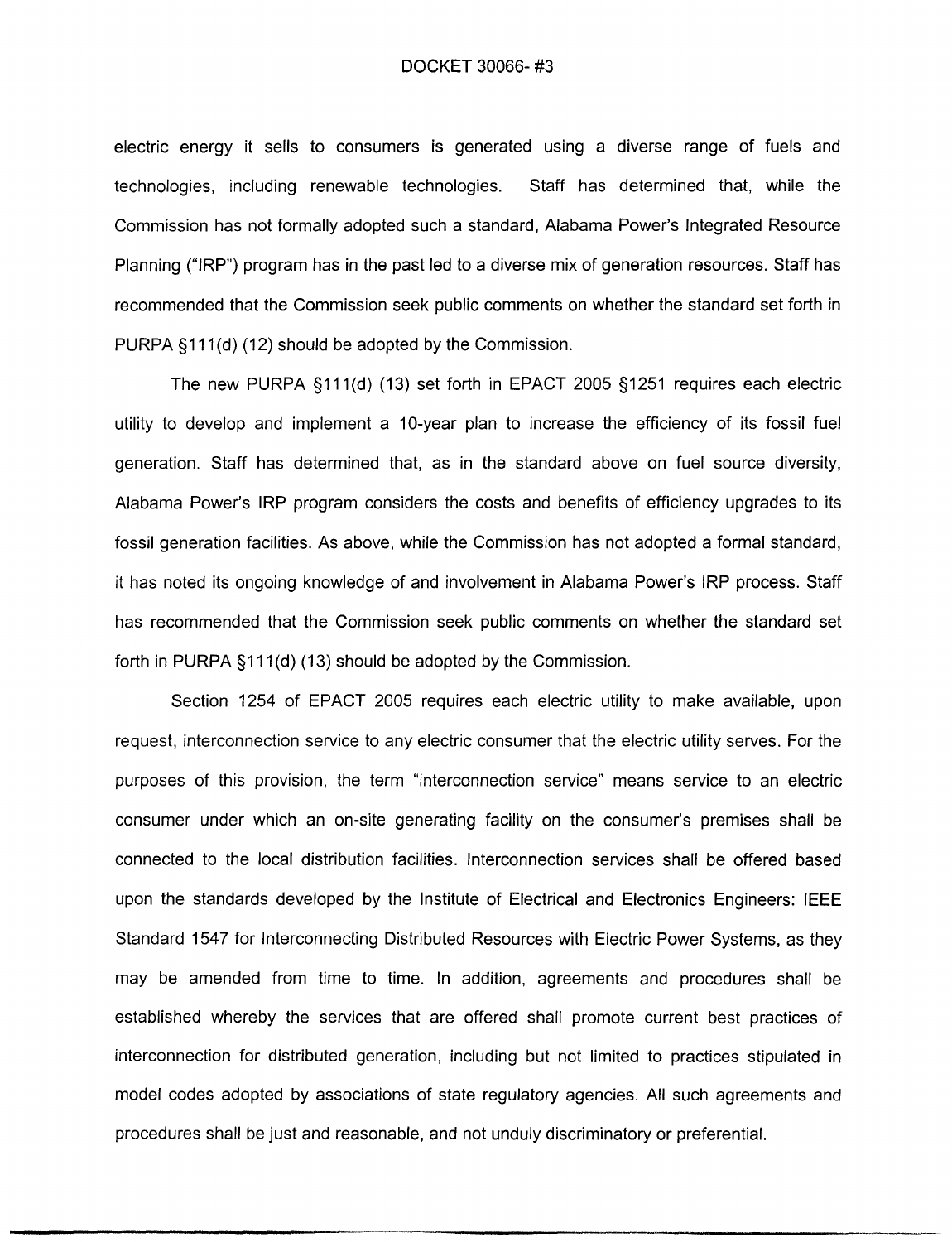electric energy it technologies, inc. Commission has not formally adopted such a standard, Alabama Power's Integrated Resource Planning ("IRP") program has in the past led to a diverse mix of generation resources. Staff has recommended that the Commission seek public comments on whether the standard set forth in PURPA §111(d) (12) should be adopted by the Commission.

> The new PURPA §111(d) (13) set forth in EPACT 2005 §1251 requires each electric utility to develop and implement a 10-year plan to increase the efficiency of its fossil fuel generation. Staff has determined that, as in the standard above on fuel source diversity, Alabama Power's IRP program considers the costs and benefits of efficiency upgrades to its fossil generation facilities. As above, while the Commission has not adopted a formal standard, it has noted its ongoing knowledge of and involvement in Alabama Power's IRP process. Staff has recommended that the Commission seek public comments on whether the standard set forth in PURPA §111(d) (13) should be adopted by the Commission.

> Section 1254 of EPACT 2005 requires each electric utility to make available, upon request, interconnection service to any electric consumer that the electric utility serves. For the purposes of this provision, the term "interconnection service" means service to an electric consumer under which an on-site generating facility on the consumer's premises shall be connected to the local distribution facilities. Interconnection services shall be offered based upon the standards developed by the Institute of Electrical and Electronics Engineers: IEEE Standard 1547 for Interconnecting Distributed Resources with Electric Power Systems, as they may be amended from time to time. In addition, agreements and procedures shall be established whereby the services that are offered shall promote current best practices of interconnection for distributed generation, including but not limited to practices stipulated in model codes adopted by associations of state regulatory agencies. All such agreements and procedures shall be just and reasonable, and not unduly discriminatory or preferential.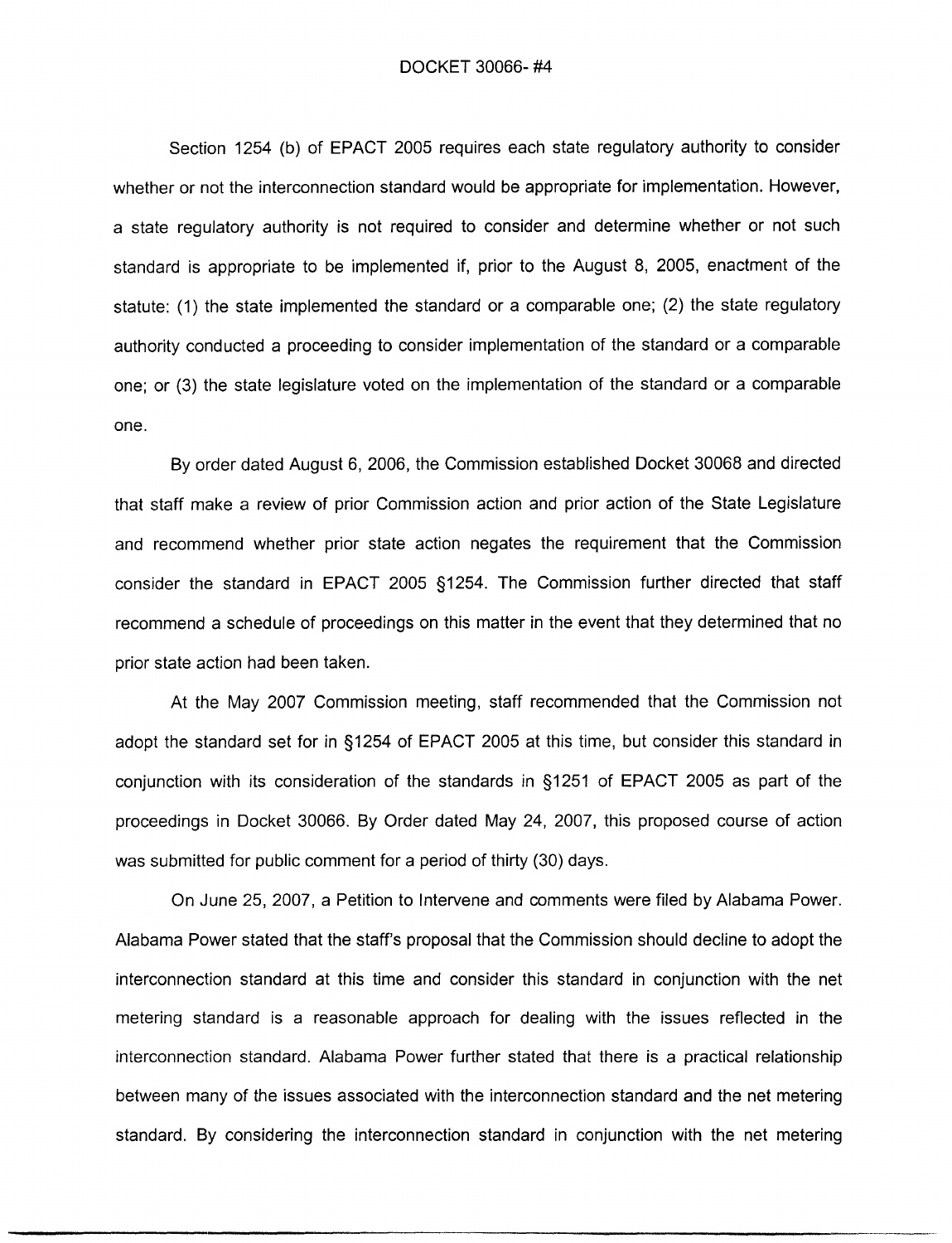Section 1254 (b) of EPACT 2005 requires each state regulatory authority to consider whether or not the interconnection standard would be appropriate for implementation. However, a state requiatory authority is not required to consider and determine whether or not such standard is appropriate to be implemented if, prior to the August 8, 2005, enactment of the statute: (1) the state implemented the standard or a comparable one; (2) the state regulatory authority conducted a proceeding to consider implementation of the standard or a comparable one: or (3) the state legislature voted on the implementation of the standard or a comparable one.

By order dated August 6, 2006, the Commission established Docket 30068 and directed that staff make a review of prior Commission action and prior action of the State Legislature and recommend whether prior state action negates the requirement that the Commission consider the standard in EPACT 2005 §1254. The Commission further directed that staff recommend a schedule of proceedings on this matter in the event that they determined that no prior state action had been taken.

At the May 2007 Commission meeting, staff recommended that the Commission not adopt the standard set for in §1254 of EPACT 2005 at this time, but consider this standard in conjunction with its consideration of the standards in §1251 of EPACT 2005 as part of the proceedings in Docket 30066. By Order dated May 24, 2007, this proposed course of action was submitted for public comment for a period of thirty (30) days.

On June 25, 2007, a Petition to Intervene and comments were filed by Alabama Power. Alabama Power stated that the staff's proposal that the Commission should decline to adopt the interconnection standard at this time and consider this standard in conjunction with the net metering standard is a reasonable approach for dealing with the issues reflected in the interconnection standard. Alabama Power further stated that there is a practical relationship between many of the issues associated with the interconnection standard and the net metering standard. By considering the interconnection standard in conjunction with the net metering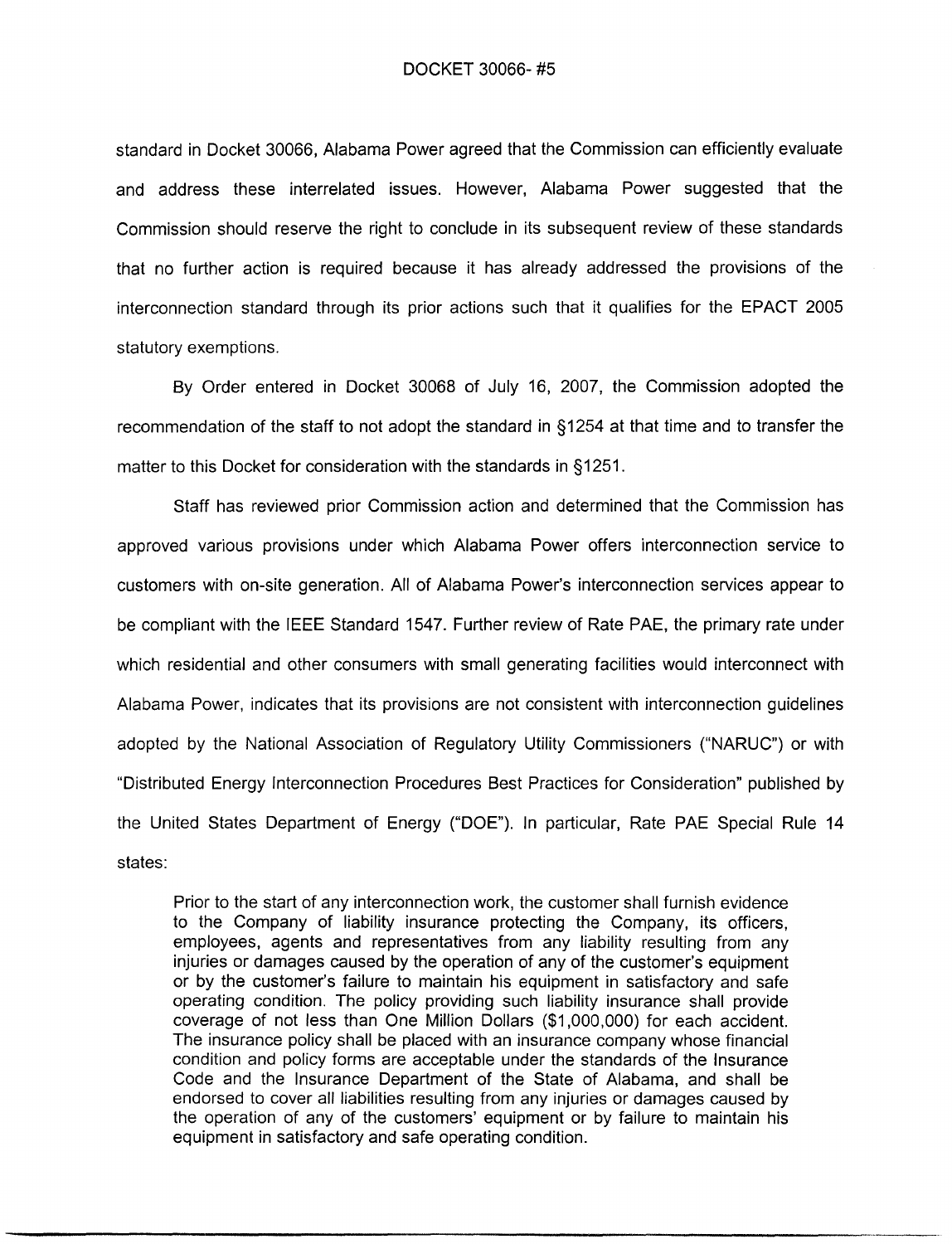standard in Docket 30066. Alabama Power agreed that the Commission can efficiently evaluate and address these interrelated issues. However, Alabama Power suggested that the Commission should reserve the right to conclude in its subsequent review of these standards that no further action is required because it has already addressed the provisions of the interconnection standard through its prior actions such that it qualifies for the EPACT 2005 statutory exemptions.

By Order entered in Docket 30068 of July 16, 2007, the Commission adopted the recommendation of the staff to not adopt the standard in §1254 at that time and to transfer the matter to this Docket for consideration with the standards in §1251.

Staff has reviewed prior Commission action and determined that the Commission has approved various provisions under which Alabama Power offers interconnection service to customers with on-site generation. All of Alabama Power's interconnection services appear to be compliant with the IEEE Standard 1547. Further review of Rate PAE, the primary rate under which residential and other consumers with small generating facilities would interconnect with Alabama Power, indicates that its provisions are not consistent with interconnection guidelines adopted by the National Association of Regulatory Utility Commissioners ("NARUC") or with "Distributed Energy Interconnection Procedures Best Practices for Consideration" published by the United States Department of Energy ("DOE"). In particular, Rate PAE Special Rule 14 states:

Prior to the start of any interconnection work, the customer shall furnish evidence to the Company of liability insurance protecting the Company, its officers, employees, agents and representatives from any liability resulting from any injuries or damages caused by the operation of any of the customer's equipment or by the customer's failure to maintain his equipment in satisfactory and safe operating condition. The policy providing such liability insurance shall provide coverage of not less than One Million Dollars (\$1,000,000) for each accident. The insurance policy shall be placed with an insurance company whose financial condition and policy forms are acceptable under the standards of the Insurance Code and the Insurance Department of the State of Alabama, and shall be endorsed to cover all liabilities resulting from any injuries or damages caused by the operation of any of the customers' equipment or by failure to maintain his equipment in satisfactory and safe operating condition.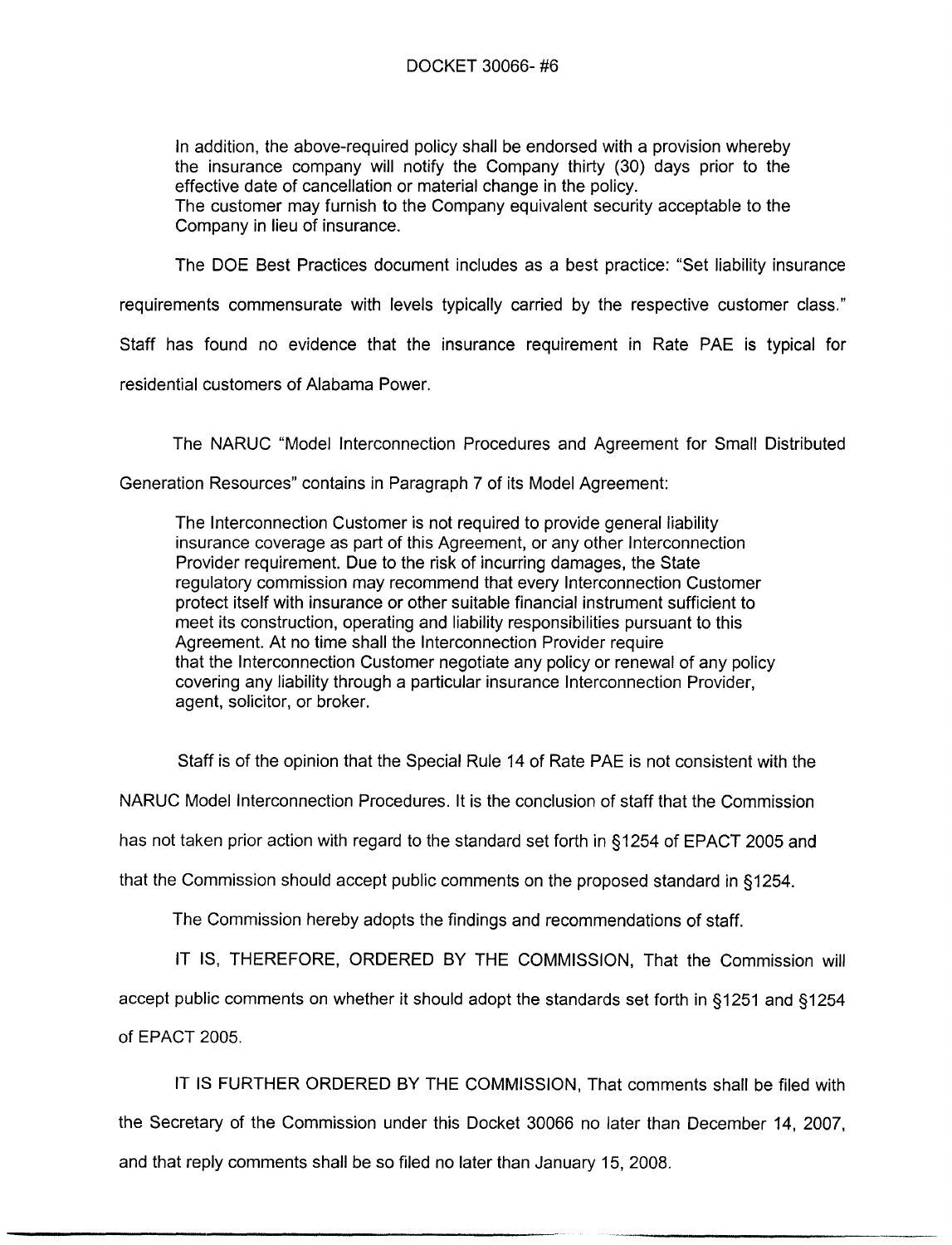In addition, the above-required policy shall be endorsed with a provision whereby the insurance company will notify the Company thirty (30) days prior to the effective date of cancellation or material change in the policy. The customer may furnish to the Company equivalent security acceptable to the Company in lieu of insurance.

The DOE Best Practices document includes as a best practice: "Set liability insurance

requirements commensurate with levels typically carried by the respective customer class."

Staff has found no evidence that the insurance requirement in Rate PAE is typical for

residential customers of Alabama Power.

The NARUC "Model Interconnection Procedures and Agreement for Small Distributed

Generation Resources" contains in Paragraph 7 of its Model Agreement:

The Interconnection Customer is not required to provide general liability insurance coverage as part of this Agreement, or any other Interconnection Provider requirement. Due to the risk of incurring damages, the State requilatory commission may recommend that every Interconnection Customer protect itself with insurance or other suitable financial instrument sufficient to meet its construction, operating and liability responsibilities pursuant to this Agreement. At no time shall the Interconnection Provider require that the Interconnection Customer negotiate any policy or renewal of any policy covering any liability through a particular insurance Interconnection Provider, agent, solicitor, or broker.

Staff is of the opinion that the Special Rule 14 of Rate PAE is not consistent with the

NARUC Model Interconnection Procedures. It is the conclusion of staff that the Commission

has not taken prior action with regard to the standard set forth in §1254 of EPACT 2005 and

that the Commission should accept public comments on the proposed standard in §1254.

The Commission hereby adopts the findings and recommendations of staff.

IT IS, THEREFORE, ORDERED BY THE COMMISSION, That the Commission will

accept public comments on whether it should adopt the standards set forth in §1251 and §1254

of EPACT 2005.

IT IS FURTHER ORDERED BY THE COMMISSION. That comments shall be filed with the Secretary of the Commission under this Docket 30066 no later than December 14, 2007. and that reply comments shall be so filed no later than January 15, 2008.